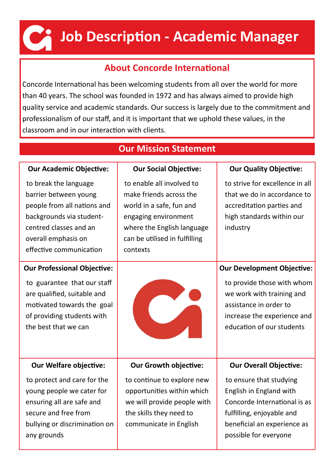# **Job Description - Academic Manager**

### **About Concorde International**

Concorde International has been welcoming students from all over the world for more than 40 years. The school was founded in 1972 and has always aimed to provide high quality service and academic standards. Our success is largely due to the commitment and professionalism of our staff, and it is important that we uphold these values, in the classroom and in our interaction with clients.

| <b>Our Mission Statement</b>                                                                                                                                                          |                                                                                                                                                                                     |                                                                                                                                                                                    |  |  |  |  |  |
|---------------------------------------------------------------------------------------------------------------------------------------------------------------------------------------|-------------------------------------------------------------------------------------------------------------------------------------------------------------------------------------|------------------------------------------------------------------------------------------------------------------------------------------------------------------------------------|--|--|--|--|--|
| <b>Our Academic Objective:</b>                                                                                                                                                        | <b>Our Social Objective:</b>                                                                                                                                                        | <b>Our Quality Objective:</b>                                                                                                                                                      |  |  |  |  |  |
| to break the language<br>barrier between young<br>people from all nations and<br>backgrounds via student-<br>centred classes and an<br>overall emphasis on<br>effective communication | to enable all involved to<br>make friends across the<br>world in a safe, fun and<br>engaging environment<br>where the English language<br>can be utilised in fulfilling<br>contexts | to strive for excellence in all<br>that we do in accordance to<br>accreditation parties and<br>high standards within our<br>industry                                               |  |  |  |  |  |
| <b>Our Professional Objective:</b><br>to guarantee that our staff<br>are qualified, suitable and<br>motivated towards the goal<br>of providing students with<br>the best that we can  |                                                                                                                                                                                     | <b>Our Development Objective:</b><br>to provide those with whom<br>we work with training and<br>assistance in order to<br>increase the experience and<br>education of our students |  |  |  |  |  |
| <b>Our Welfare objective:</b>                                                                                                                                                         | <b>Our Growth objective:</b>                                                                                                                                                        | <b>Our Overall Objective:</b>                                                                                                                                                      |  |  |  |  |  |
| to protect and care for the<br>young people we cater for<br>ensuring all are safe and<br>secure and free from<br>bullying or discrimination on<br>any grounds                         | to continue to explore new<br>opportunities within which<br>we will provide people with<br>the skills they need to<br>communicate in English                                        | to ensure that studying<br>English in England with<br>Concorde International is as<br>fulfilling, enjoyable and<br>beneficial an experience as<br>possible for everyone            |  |  |  |  |  |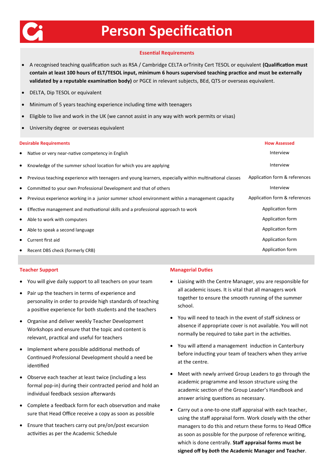

## **Person Specification**

#### **Essential Requirements**

- A recognised teaching qualification such as RSA / Cambridge CELTA orTrinity Cert TESOL or equivalent **(Qualification must contain at least 100 hours of ELT/TESOL input, minimum 6 hours supervised teaching practice and must be externally validated by a reputable examination body)** or PGCE in relevant subjects, BEd, QTS or overseas equivalent.
- DELTA, Dip TESOL or equivalent
- Minimum of 5 years teaching experience including time with teenagers
- Eligible to live and work in the UK (we cannot assist in any way with work permits or visas)
- University degree or overseas equivalent

| <b>Desirable Requirements</b> |  |  |  |
|-------------------------------|--|--|--|
|                               |  |  |  |

|           | <b>Desirable Requirements</b>                                                                           | <b>How Assessed</b>           |
|-----------|---------------------------------------------------------------------------------------------------------|-------------------------------|
| $\bullet$ | Native or very near-native competency in English                                                        | Interview                     |
| $\bullet$ | Knowledge of the summer school location for which you are applying                                      | Interview                     |
| ٠         | Previous teaching experience with teenagers and young learners, especially within multinational classes | Application form & references |
| ٠         | Committed to your own Professional Development and that of others                                       | Interview                     |
| ٠         | Previous experience working in a junior summer school environment within a management capacity          | Application form & references |
| ٠         | Effective management and motivational skills and a professional approach to work                        | Application form              |
| ٠         | Able to work with computers                                                                             | Application form              |
| ٠         | Able to speak a second language                                                                         | Application form              |
| ٠         | Current first aid                                                                                       | Application form              |
|           | Recent DBS check (formerly CRB)                                                                         | Application form              |

#### **Teacher Support**

- You will give daily support to all teachers on your team
- Pair up the teachers in terms of experience and personality in order to provide high standards of teaching a positive experience for both students and the teachers
- Organise and deliver weekly Teacher Development Workshops and ensure that the topic and content is relevant, practical and useful for teachers
- Implement where possible additional methods of Continued Professional Development should a need be identified
- Observe each teacher at least twice (including a less formal pop-in) during their contracted period and hold an individual feedback session afterwards
- Complete a feedback form for each observation and make sure that Head Office receive a copy as soon as possible
- Ensure that teachers carry out pre/on/post excursion activities as per the Academic Schedule

#### **Managerial Duties**

- Liaising with the Centre Manager, you are responsible for all academic issues. It is vital that all managers work together to ensure the smooth running of the summer school.
- You will need to teach in the event of staff sickness or absence if appropriate cover is not available. You will not normally be required to take part in the activities.
- You will attend a management induction in Canterbury before inducting your team of teachers when they arrive at the centre.
- Meet with newly arrived Group Leaders to go through the academic programme and lesson structure using the academic section of the Group Leader's Handbook and answer arising questions as necessary.
- Carry out a one-to-one staff appraisal with each teacher, using the staff appraisal form. Work closely with the other managers to do this and return these forms to Head Office as soon as possible for the purpose of reference writing, which is done centrally. **Staff appraisal forms must be signed off by** *both* **the Academic Manager and Teacher**.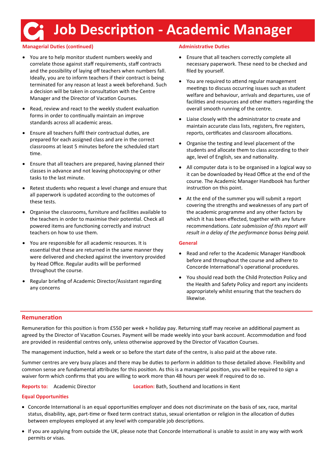## **Job Description - Academic Manager**

#### **Managerial Duties (continued)**

- You are to help monitor student numbers weekly and correlate those against staff requirements, staff contracts and the possibility of laying off teachers when numbers fall. Ideally, you are to inform teachers if their contract is being terminated for any reason at least a week beforehand. Such a decision will be taken in consultation with the Centre Manager and the Director of Vacation Courses.
- Read, review and react to the weekly student evaluation forms in order to continually maintain an improve standards across all academic areas.
- Ensure all teachers fulfil their contractual duties, are prepared for each assigned class and are in the correct classrooms at least 5 minutes before the scheduled start time.
- Ensure that all teachers are prepared, having planned their classes in advance and not leaving photocopying or other tasks to the last minute.
- Retest students who request a level change and ensure that all paperwork is updated according to the outcomes of these tests.
- Organise the classrooms, furniture and facilities available to the teachers in order to maximise their potential. Check all powered items are functioning correctly and instruct teachers on how to use them.
- You are responsible for all academic resources. It is essential that these are returned in the same manner they were delivered and checked against the inventory provided by Head Office. Regular audits will be performed throughout the course.
- Regular briefing of Academic Director/Assistant regarding any concerns

#### **Administrative Duties**

- Ensure that all teachers correctly complete all necessary paperwork. These need to be checked and filed by yourself.
- You are required to attend regular management meetings to discuss occurring issues such as student welfare and behaviour, arrivals and departures, use of facilities and resources and other matters regarding the overall smooth running of the centre.
- Liaise closely with the administrator to create and maintain accurate class lists, registers, fire registers, reports, certificates and classroom allocations.
- Organise the testing and level placement of the students and allocate them to class according to their age, level of English, sex and nationality.
- All computer data is to be organised in a logical way so it can be downloaded by Head Office at the end of the course. The Academic Manager Handbook has further instruction on this point.
- At the end of the summer you will submit a report covering the strengths and weaknesses of any part of the academic programme and any other factors by which it has been effected, together with any future recommendations. *Late submission of this report will result in a delay of the performance bonus being paid.*

#### **General**

- Read and refer to the Academic Manager Handbook before and throughout the course and adhere to Concorde International's operational procedures.
- You should read both the Child Protection Policy and the Health and Safety Policy and report any incidents appropriately whilst ensuring that the teachers do likewise.

#### **Remuneration**

Remuneration for this position is from £550 per week + holiday pay. Returning staff may receive an additional payment as agreed by the Director of Vacation Courses. Payment will be made weekly into your bank account. Accommodation and food are provided in residential centres only, unless otherwise approved by the Director of Vacation Courses.

The management induction, held a week or so before the start date of the centre, is also paid at the above rate.

Summer centres are very busy places and there may be duties to perform in addition to those detailed above. Flexibility and common sense are fundamental attributes for this position. As this is a managerial position, you will be required to sign a waiver form which confirms that you are willing to work more than 48 hours per week if required to do so.

**Reports to:** Academic Director **Location:** Bath, Southend and locations in Kent

#### **Equal Opportunities**

- Concorde International is an equal opportunities employer and does not discriminate on the basis of sex, race, marital status, disability, age, part-time or fixed term contract status, sexual orientation or religion in the allocation of duties between employees employed at any level with comparable job descriptions.
- If you are applying from outside the UK, please note that Concorde International is unable to assist in any way with work permits or visas.